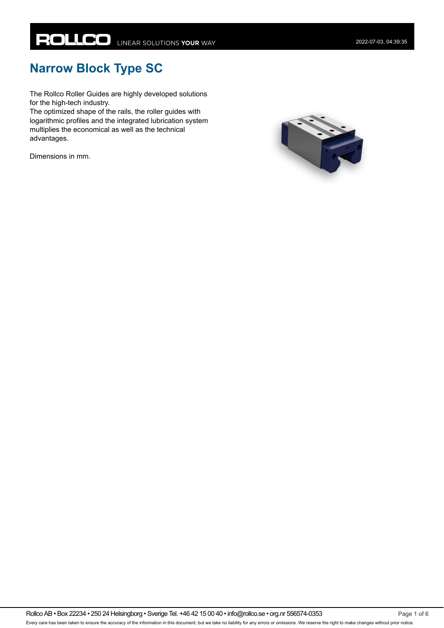# **Narrow Block Type SC**

The Rollco Roller Guides are highly developed solutions for the high-tech industry.

The optimized shape of the rails, the roller guides with logarithmic profiles and the integrated lubrication system multiplies the economical as well as the technical advantages.

Dimensions in mm.

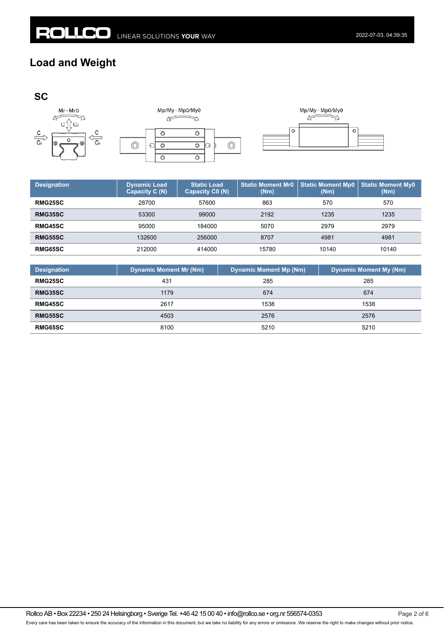$\overline{\circ}$ 

#### **Load and Weight**



| <b>Designation</b> | <b>Dynamic Load</b><br>Capacity C (N) | <b>Static Load</b><br>Capacity C0 (N) | <b>Static Moment Mr0</b><br>(Nm) | <b>Static Moment Mp0</b><br>(Nm) | <b>Static Moment My0</b><br>(Nm) |
|--------------------|---------------------------------------|---------------------------------------|----------------------------------|----------------------------------|----------------------------------|
| <b>RMG25SC</b>     | 28700                                 | 57600                                 | 863                              | 570                              | 570                              |
| RMG35SC            | 53300                                 | 99000                                 | 2192                             | 1235                             | 1235                             |
| <b>RMG45SC</b>     | 95000                                 | 184000                                | 5070                             | 2979                             | 2979                             |
| <b>RMG55SC</b>     | 132600                                | 256000                                | 8707                             | 4981                             | 4981                             |
| RMG65SC            | 212000                                | 414000                                | 15780                            | 10140                            | 10140                            |
|                    |                                       |                                       |                                  |                                  |                                  |

| <b>Designation</b> | <b>Dynamic Moment Mr (Nm)</b> | <b>Dynamic Moment Mp (Nm)</b> | <b>Dynamic Moment My (Nm)</b> |
|--------------------|-------------------------------|-------------------------------|-------------------------------|
| <b>RMG25SC</b>     | 431                           | 285                           | 285                           |
| RMG35SC            | 1179                          | 674                           | 674                           |
| <b>RMG45SC</b>     | 2617                          | 1538                          | 1538                          |
| <b>RMG55SC</b>     | 4503                          | 2576                          | 2576                          |
| <b>RMG65SC</b>     | 8100                          | 5210                          | 5210                          |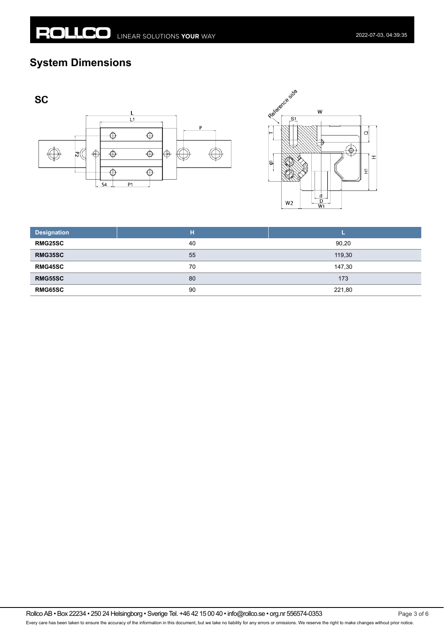## **System Dimensions**







| <b>Designation</b> | н  |        |
|--------------------|----|--------|
| <b>RMG25SC</b>     | 40 | 90,20  |
| <b>RMG35SC</b>     | 55 | 119,30 |
| <b>RMG45SC</b>     | 70 | 147,30 |
| <b>RMG55SC</b>     | 80 | 173    |
| <b>RMG65SC</b>     | 90 | 221,80 |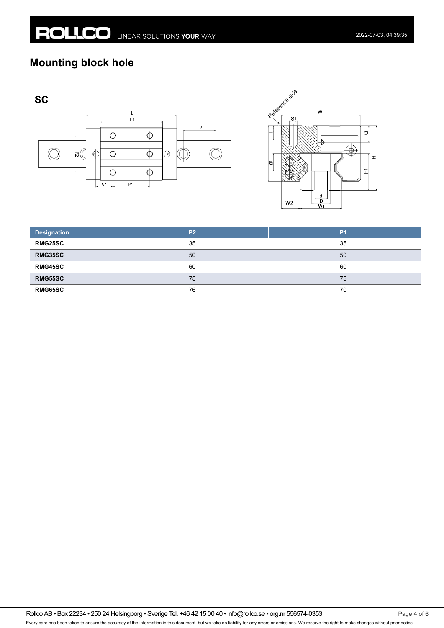## **Mounting block hole**







| <b>Designation</b> | P <sub>2</sub> | P <sub>1</sub> |
|--------------------|----------------|----------------|
| <b>RMG25SC</b>     | 35             | 35             |
| <b>RMG35SC</b>     | 50             | 50             |
| <b>RMG45SC</b>     | 60             | 60             |
| <b>RMG55SC</b>     | 75             | 75             |
| <b>RMG65SC</b>     | 76             | 70             |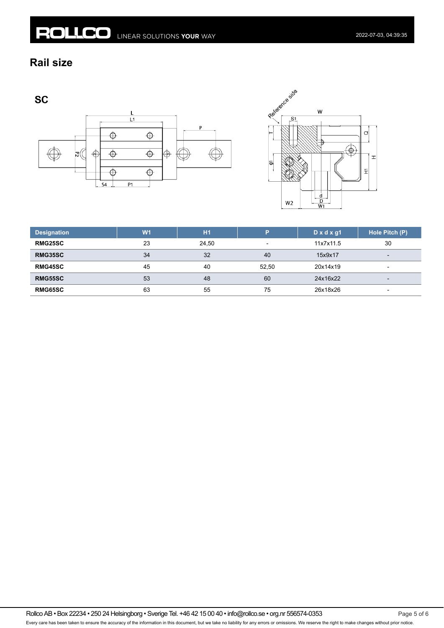#### **Rail size**

**SC** 





| <b>Designation</b> | W <sub>1</sub> | <b>H1</b> | P     | $D \times d \times g1$ | Hole Pitch (P)           |
|--------------------|----------------|-----------|-------|------------------------|--------------------------|
| <b>RMG25SC</b>     | 23             | 24.50     | ۰     | 11x7x11.5              | 30                       |
| RMG35SC            | 34             | 32        | 40    | 15x9x17                | $\overline{\phantom{a}}$ |
| <b>RMG45SC</b>     | 45             | 40        | 52.50 | 20x14x19               | $\overline{\phantom{a}}$ |
| <b>RMG55SC</b>     | 53             | 48        | 60    | 24x16x22               | $\overline{\phantom{0}}$ |
| <b>RMG65SC</b>     | 63             | 55        | 75    | 26x18x26               | $\overline{\phantom{0}}$ |